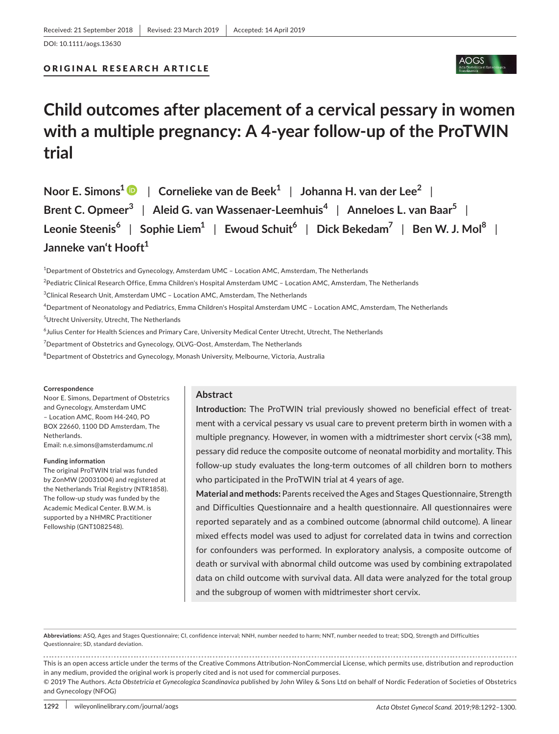# ORIGINAL RESEARCH ARTICLE

# **Child outcomes after placement of a cervical pessary in women with a multiple pregnancy: A 4‐year follow‐up of the ProTWIN trial**

**Noor E. Simons1** | **Cornelieke van de Beek1** | **Johanna H. van der Lee2** | **Brent C. Opmeer<sup>3</sup>** | **Aleid G. van Wassenaer‐Leemhuis<sup>4</sup>** | **Anneloes L. van Baar5** | **Leonie Steenis<sup>6</sup>** | **Sophie Liem1** | **Ewoud Schuit6** | **Dick Bekedam7** | **Ben W. J. Mol<sup>8</sup>** | **Janneke van't Hooft**<sup>1</sup>

<sup>1</sup>Department of Obstetrics and Gynecology, Amsterdam UMC - Location AMC, Amsterdam, The Netherlands

<sup>2</sup>Pediatric Clinical Research Office, Emma Children's Hospital Amsterdam UMC – Location AMC, Amsterdam, The Netherlands

 $^3$ Clinical Research Unit, Amsterdam UMC – Location AMC, Amsterdam, The Netherlands

4 Department of Neonatology and Pediatrics, Emma Children's Hospital Amsterdam UMC – Location AMC, Amsterdam, The Netherlands 5 Utrecht University, Utrecht, The Netherlands

6 Julius Center for Health Sciences and Primary Care, University Medical Center Utrecht, Utrecht, The Netherlands

<sup>7</sup>Department of Obstetrics and Gynecology, OLVG-Oost, Amsterdam, The Netherlands

8 Department of Obstetrics and Gynecology, Monash University, Melbourne, Victoria, Australia

#### **Correspondence**

Noor E. Simons, Department of Obstetrics and Gynecology, Amsterdam UMC – Location AMC, Room H4‐240, PO BOX 22660, 1100 DD Amsterdam, The **Netherlands** 

Email: [n.e.simons@amsterdamumc.nl](mailto:n.e.simons@amsterdamumc.nl)

#### **Funding information**

The original ProTWIN trial was funded by ZonMW (20031004) and registered at the Netherlands Trial Registry (NTR1858). The follow‐up study was funded by the Academic Medical Center. B.W.M. is supported by a NHMRC Practitioner Fellowship (GNT1082548).

#### **Abstract**

**Introduction:** The ProTWIN trial previously showed no beneficial effect of treat‐ ment with a cervical pessary vs usual care to prevent preterm birth in women with a multiple pregnancy. However, in women with a midtrimester short cervix (<38 mm), pessary did reduce the composite outcome of neonatal morbidity and mortality. This follow-up study evaluates the long-term outcomes of all children born to mothers who participated in the ProTWIN trial at 4 years of age.

**Material and methods:** Parents received the Ages and Stages Questionnaire, Strength and Difficulties Questionnaire and a health questionnaire. All questionnaires were reported separately and as a combined outcome (abnormal child outcome). A linear mixed effects model was used to adjust for correlated data in twins and correction for confounders was performed. In exploratory analysis, a composite outcome of death or survival with abnormal child outcome was used by combining extrapolated data on child outcome with survival data. All data were analyzed for the total group and the subgroup of women with midtrimester short cervix.

**Abbreviations:** ASQ, Ages and Stages Questionnaire; CI, confidence interval; NNH, number needed to harm; NNT, number needed to treat; SDQ, Strength and Difficulties Questionnaire; SD, standard deviation.

This is an open access article under the terms of the [Creative Commons Attribution-NonCommercial](http://creativecommons.org/licenses/by-nc/4.0/) License, which permits use, distribution and reproduction in any medium, provided the original work is properly cited and is not used for commercial purposes. © 2019 The Authors. *Acta Obstetricia et Gynecologica Scandinavica* published by John Wiley & Sons Ltd on behalf of Nordic Federation of Societies of Obstetrics

and Gynecology (NFOG)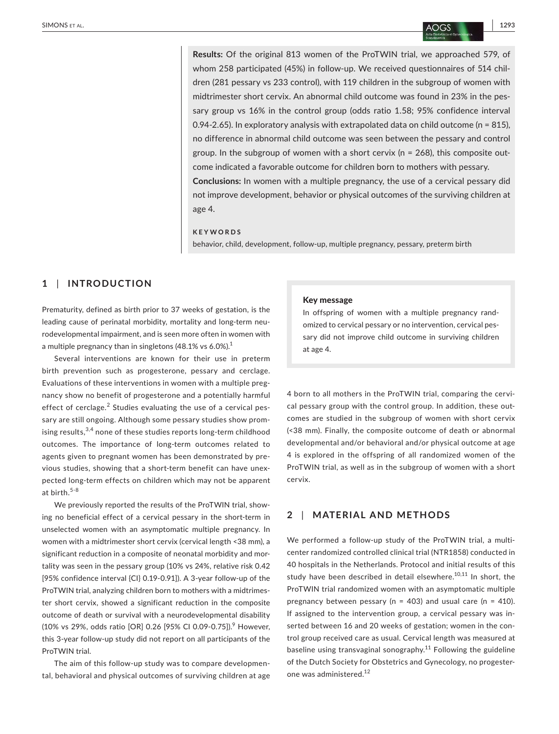**|** SIMONS et al. **1293**

**Results:** Of the original 813 women of the ProTWIN trial, we approached 579, of whom 258 participated (45%) in follow-up. We received questionnaires of 514 children (281 pessary vs 233 control), with 119 children in the subgroup of women with midtrimester short cervix. An abnormal child outcome was found in 23% in the pes‐ sary group vs 16% in the control group (odds ratio 1.58; 95% confidence interval 0.94-2.65). In exploratory analysis with extrapolated data on child outcome ( $n = 815$ ), no difference in abnormal child outcome was seen between the pessary and control group. In the subgroup of women with a short cervix ( $n = 268$ ), this composite outcome indicated a favorable outcome for children born to mothers with pessary. **Conclusions:** In women with a multiple pregnancy, the use of a cervical pessary did not improve development, behavior or physical outcomes of the surviving children at age 4.

#### **KEYWORDS**

behavior, child, development, follow-up, multiple pregnancy, pessary, preterm birth

# **1** | **INTRODUCTION**

Prematurity, defined as birth prior to 37 weeks of gestation, is the leading cause of perinatal morbidity, mortality and long-term neurodevelopmental impairment, and is seen more often in women with a multiple pregnancy than in singletons (48.1% vs 6.0%).<sup>1</sup>

Several interventions are known for their use in preterm birth prevention such as progesterone, pessary and cerclage. Evaluations of these interventions in women with a multiple preg‐ nancy show no benefit of progesterone and a potentially harmful effect of cerclage.<sup>2</sup> Studies evaluating the use of a cervical pessary are still ongoing. Although some pessary studies show promising results,<sup>3,4</sup> none of these studies reports long-term childhood outcomes. The importance of long‐term outcomes related to agents given to pregnant women has been demonstrated by pre‐ vious studies, showing that a short-term benefit can have unexpected long‐term effects on children which may not be apparent at birth.5-8

We previously reported the results of the ProTWIN trial, showing no beneficial effect of a cervical pessary in the short-term in unselected women with an asymptomatic multiple pregnancy. In women with a midtrimester short cervix (cervical length <38 mm), a significant reduction in a composite of neonatal morbidity and mor‐ tality was seen in the pessary group (10% vs 24%, relative risk 0.42 [95% confidence interval {CI} 0.19‐0.91]). A 3‐year follow-up of the ProTWIN trial, analyzing children born to mothers with a midtrimes‐ ter short cervix, showed a significant reduction in the composite outcome of death or survival with a neurodevelopmental disability (10% vs 29%, odds ratio [OR] 0.26 [95% CI 0.09-0.75]).<sup>9</sup> However, this 3‐year follow‐up study did not report on all participants of the ProTWIN trial.

The aim of this follow‐up study was to compare developmen‐ tal, behavioral and physical outcomes of surviving children at age

#### Key message

In offspring of women with a multiple pregnancy randomized to cervical pessary or no intervention, cervical pes‐ sary did not improve child outcome in surviving children at age 4.

4 born to all mothers in the ProTWIN trial, comparing the cervi‐ cal pessary group with the control group. In addition, these outcomes are studied in the subgroup of women with short cervix (<38 mm). Finally, the composite outcome of death or abnormal developmental and/or behavioral and/or physical outcome at age 4 is explored in the offspring of all randomized women of the ProTWIN trial, as well as in the subgroup of women with a short cervix.

# **2** | **MATERIAL AND METHODS**

We performed a follow-up study of the ProTWIN trial, a multicenter randomized controlled clinical trial (NTR1858) conducted in 40 hospitals in the Netherlands. Protocol and initial results of this study have been described in detail elsewhere.<sup>10,11</sup> In short. the ProTWIN trial randomized women with an asymptomatic multiple pregnancy between pessary ( $n = 403$ ) and usual care ( $n = 410$ ). If assigned to the intervention group, a cervical pessary was in‐ serted between 16 and 20 weeks of gestation; women in the control group received care as usual. Cervical length was measured at baseline using transvaginal sonography.<sup>11</sup> Following the guideline of the Dutch Society for Obstetrics and Gynecology, no progester‐ one was administered.12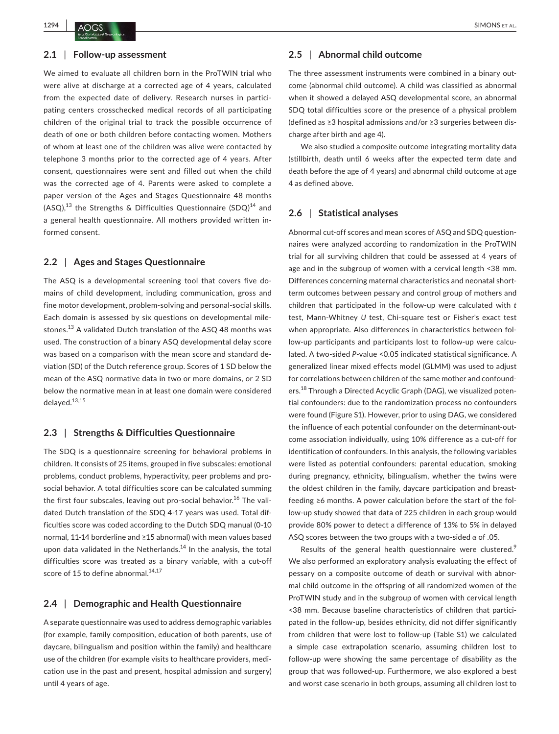#### **2.1** | **Follow‐up assessment**

We aimed to evaluate all children born in the ProTWIN trial who were alive at discharge at a corrected age of 4 years, calculated from the expected date of delivery. Research nurses in participating centers crosschecked medical records of all participating children of the original trial to track the possible occurrence of death of one or both children before contacting women. Mothers of whom at least one of the children was alive were contacted by telephone 3 months prior to the corrected age of 4 years. After consent, questionnaires were sent and filled out when the child was the corrected age of 4. Parents were asked to complete a paper version of the Ages and Stages Questionnaire 48 months (ASQ),<sup>13</sup> the Strengths & Difficulties Questionnaire (SDQ)<sup>14</sup> and a general health questionnaire. All mothers provided written in‐ formed consent.

#### **2.2** | **Ages and Stages Questionnaire**

The ASQ is a developmental screening tool that covers five domains of child development, including communication, gross and fine motor development, problem‐solving and personal‐social skills. Each domain is assessed by six questions on developmental mile‐ stones.13 A validated Dutch translation of the ASQ 48 months was used. The construction of a binary ASQ developmental delay score was based on a comparison with the mean score and standard de‐ viation (SD) of the Dutch reference group. Scores of 1 SD below the mean of the ASQ normative data in two or more domains, or 2 SD below the normative mean in at least one domain were considered delayed.13,15

#### **2.3** | **Strengths & Difficulties Questionnaire**

The SDQ is a questionnaire screening for behavioral problems in children. It consists of 25 items, grouped in five subscales: emotional problems, conduct problems, hyperactivity, peer problems and pro‐ social behavior. A total difficulties score can be calculated summing the first four subscales, leaving out pro-social behavior.<sup>16</sup> The validated Dutch translation of the SDQ 4‐17 years was used. Total dif‐ ficulties score was coded according to the Dutch SDQ manual (0‐10 normal, 11‐14 borderline and ≥15 abnormal) with mean values based upon data validated in the Netherlands.<sup>14</sup> In the analysis, the total difficulties score was treated as a binary variable, with a cut‐off score of 15 to define abnormal.<sup>14,17</sup>

#### **2.4** | **Demographic and Health Questionnaire**

A separate questionnaire was used to address demographic variables (for example, family composition, education of both parents, use of daycare, bilingualism and position within the family) and healthcare use of the children (for example visits to healthcare providers, medi‐ cation use in the past and present, hospital admission and surgery) until 4 years of age.

#### **2.5** | **Abnormal child outcome**

The three assessment instruments were combined in a binary outcome (abnormal child outcome). A child was classified as abnormal when it showed a delayed ASQ developmental score, an abnormal SDQ total difficulties score or the presence of a physical problem (defined as ≥3 hospital admissions and/or ≥3 surgeries between dis‐ charge after birth and age 4).

We also studied a composite outcome integrating mortality data (stillbirth, death until 6 weeks after the expected term date and death before the age of 4 years) and abnormal child outcome at age 4 as defined above.

#### **2.6** | **Statistical analyses**

Abnormal cut-off scores and mean scores of ASQ and SDQ questionnaires were analyzed according to randomization in the ProTWIN trial for all surviving children that could be assessed at 4 years of age and in the subgroup of women with a cervical length <38 mm. Differences concerning maternal characteristics and neonatal short‐ term outcomes between pessary and control group of mothers and children that participated in the follow-up were calculated with *t* test, Mann‐Whitney *U* test, Chi‐square test or Fisher's exact test when appropriate. Also differences in characteristics between fol‐ low-up participants and participants lost to follow-up were calculated. A two-sided P-value <0.05 indicated statistical significance. A generalized linear mixed effects model (GLMM) was used to adjust for correlations between children of the same mother and confound‐ ers.<sup>18</sup> Through a Directed Acyclic Graph (DAG), we visualized potential confounders: due to the randomization process no confounders were found (Figure S1). However, prior to using DAG, we considered the influence of each potential confounder on the determinant‐out‐ come association individually, using 10% difference as a cut‐off for identification of confounders. In this analysis, the following variables were listed as potential confounders: parental education, smoking during pregnancy, ethnicity, bilingualism, whether the twins were the oldest children in the family, daycare participation and breastfeeding ≥6 months. A power calculation before the start of the fol‐ low‐up study showed that data of 225 children in each group would provide 80% power to detect a difference of 13% to 5% in delayed ASQ scores between the two groups with a two-sided  $\alpha$  of .05.

Results of the general health questionnaire were clustered.<sup>9</sup> We also performed an exploratory analysis evaluating the effect of pessary on a composite outcome of death or survival with abnor‐ mal child outcome in the offspring of all randomized women of the ProTWIN study and in the subgroup of women with cervical length <38 mm. Because baseline characteristics of children that participated in the follow-up, besides ethnicity, did not differ significantly from children that were lost to follow-up (Table S1) we calculated a simple case extrapolation scenario, assuming children lost to follow-up were showing the same percentage of disability as the group that was followed‐up. Furthermore, we also explored a best and worst case scenario in both groups, assuming all children lost to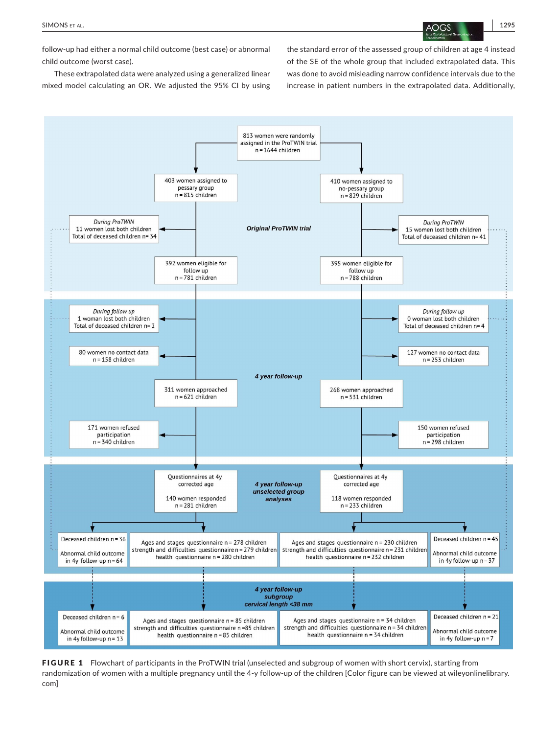follow-up had either a normal child outcome (best case) or abnormal child outcome (worst case).

These extrapolated data were analyzed using a generalized linear mixed model calculating an OR. We adjusted the 95% CI by using the standard error of the assessed group of children at age 4 instead of the SE of the whole group that included extrapolated data. This was done to avoid misleading narrow confidence intervals due to the increase in patient numbers in the extrapolated data. Additionally,



FIGURE 1 Flowchart of participants in the ProTWIN trial (unselected and subgroup of women with short cervix), starting from randomization of women with a multiple pregnancy until the 4‐y follow-up of the children [Color figure can be viewed at [wileyonlinelibrary.](www.wileyonlinelibrary.com) [com\]](www.wileyonlinelibrary.com)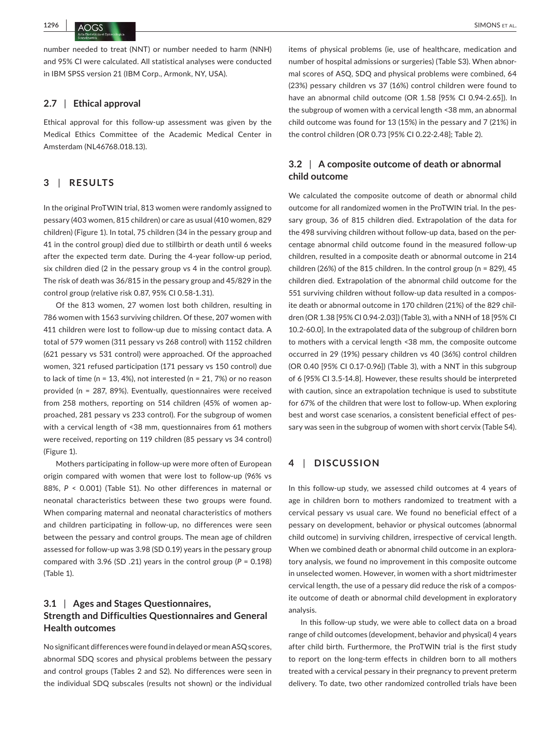**1296 |**  SIMONS et al.

number needed to treat (NNT) or number needed to harm (NNH) and 95% CI were calculated. All statistical analyses were conducted in IBM SPSS version 21 (IBM Corp., Armonk, NY, USA).

#### **2.7** | **Ethical approval**

Ethical approval for this follow‐up assessment was given by the Medical Ethics Committee of the Academic Medical Center in Amsterdam (NL46768.018.13).

## **3** | **RESULTS**

In the original ProTWIN trial, 813 women were randomly assigned to pessary (403 women, 815 children) or care as usual (410 women, 829 children) (Figure 1). In total, 75 children (34 in the pessary group and 41 in the control group) died due to stillbirth or death until 6 weeks after the expected term date. During the 4‐year follow‐up period, six children died (2 in the pessary group vs 4 in the control group). The risk of death was 36/815 in the pessary group and 45/829 in the control group (relative risk 0.87, 95% CI 0.58‐1.31).

Of the 813 women, 27 women lost both children, resulting in 786 women with 1563 surviving children. Of these, 207 women with 411 children were lost to follow-up due to missing contact data. A total of 579 women (311 pessary vs 268 control) with 1152 children (621 pessary vs 531 control) were approached. Of the approached women, 321 refused participation (171 pessary vs 150 control) due to lack of time ( $n = 13, 4\%$ ), not interested ( $n = 21, 7\%$ ) or no reason provided (n = 287, 89%). Eventually, questionnaires were received from 258 mothers, reporting on 514 children (45% of women ap‐ proached, 281 pessary vs 233 control). For the subgroup of women with a cervical length of <38 mm, questionnaires from 61 mothers were received, reporting on 119 children (85 pessary vs 34 control) (Figure 1).

Mothers participating in follow-up were more often of European origin compared with women that were lost to follow-up (96% vs 88%, *P* < 0.001) (Table S1). No other differences in maternal or neonatal characteristics between these two groups were found. When comparing maternal and neonatal characteristics of mothers and children participating in follow-up, no differences were seen between the pessary and control groups. The mean age of children assessed for follow-up was 3.98 (SD 0.19) years in the pessary group compared with 3.96 (SD .21) years in the control group (*P* = 0.198) (Table 1).

# **3.1** | **Ages and Stages Questionnaires, Strength and Difficulties Questionnaires and General Health outcomes**

No significant differences were found in delayed or mean ASQ scores, abnormal SDQ scores and physical problems between the pessary and control groups (Tables 2 and S2). No differences were seen in the individual SDQ subscales (results not shown) or the individual items of physical problems (ie, use of healthcare, medication and number of hospital admissions or surgeries) (Table S3). When abnor‐ mal scores of ASQ, SDQ and physical problems were combined, 64 (23%) pessary children vs 37 (16%) control children were found to have an abnormal child outcome (OR 1.58 [95% CI 0.94‐2.65]). In the subgroup of women with a cervical length <38 mm, an abnormal child outcome was found for 13 (15%) in the pessary and 7 (21%) in the control children (OR 0.73 [95% CI 0.22‐2.48]; Table 2).

# **3.2** | **A composite outcome of death or abnormal child outcome**

We calculated the composite outcome of death or abnormal child outcome for all randomized women in the ProTWIN trial. In the pes‐ sary group, 36 of 815 children died. Extrapolation of the data for the 498 surviving children without follow-up data, based on the percentage abnormal child outcome found in the measured follow‐up children, resulted in a composite death or abnormal outcome in 214 children (26%) of the 815 children. In the control group (n = 829), 45 children died. Extrapolation of the abnormal child outcome for the 551 surviving children without follow-up data resulted in a composite death or abnormal outcome in 170 children (21%) of the 829 chil‐ dren (OR 1.38 [95% CI 0.94‐2.03]) (Table 3), with a NNH of 18 [95% CI 10.2‐60.0]. In the extrapolated data of the subgroup of children born to mothers with a cervical length <38 mm, the composite outcome occurred in 29 (19%) pessary children vs 40 (36%) control children (OR 0.40 [95% CI 0.17‐0.96]) (Table 3), with a NNT in this subgroup of 6 [95% CI 3.5‐14.8]. However, these results should be interpreted with caution, since an extrapolation technique is used to substitute for 67% of the children that were lost to follow-up. When exploring best and worst case scenarios, a consistent beneficial effect of pes‐ sary was seen in the subgroup of women with short cervix (Table S4).

### **4** | **DISCUSSION**

In this follow‐up study, we assessed child outcomes at 4 years of age in children born to mothers randomized to treatment with a cervical pessary vs usual care. We found no beneficial effect of a pessary on development, behavior or physical outcomes (abnormal child outcome) in surviving children, irrespective of cervical length. When we combined death or abnormal child outcome in an explora‐ tory analysis, we found no improvement in this composite outcome in unselected women. However, in women with a short midtrimester cervical length, the use of a pessary did reduce the risk of a compos‐ ite outcome of death or abnormal child development in exploratory analysis.

In this follow‐up study, we were able to collect data on a broad range of child outcomes (development, behavior and physical) 4 years after child birth. Furthermore, the ProTWIN trial is the first study to report on the long‐term effects in children born to all mothers treated with a cervical pessary in their pregnancy to prevent preterm delivery. To date, two other randomized controlled trials have been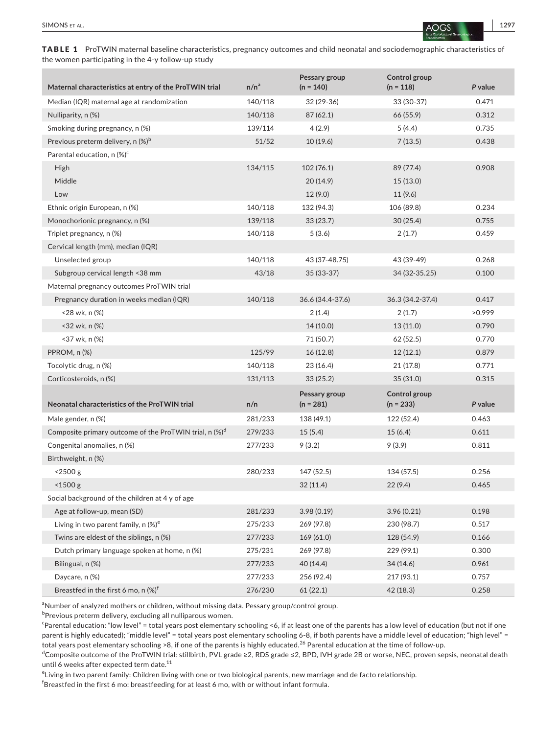TABLE 1 ProTWIN maternal baseline characteristics, pregnancy outcomes and child neonatal and sociodemographic characteristics of the women participating in the 4‐y follow‐up study

| Maternal characteristics at entry of the ProTWIN trial                                 | n/n <sup>a</sup> | Pessary group<br>$(n = 140)$ | Control group<br>$(n = 118)$ | P value |
|----------------------------------------------------------------------------------------|------------------|------------------------------|------------------------------|---------|
| Median (IQR) maternal age at randomization                                             | 140/118          | 32 (29-36)                   | 33 (30-37)                   | 0.471   |
| Nulliparity, n (%)                                                                     | 140/118          | 87 (62.1)                    | 66 (55.9)                    | 0.312   |
| Smoking during pregnancy, n (%)                                                        | 139/114          | 4(2.9)                       | 5(4.4)                       | 0.735   |
| Previous preterm delivery, n (%) <sup>b</sup>                                          | 51/52            | 10(19.6)                     | 7(13.5)                      | 0.438   |
| Parental education, $n$ (%) <sup>c</sup>                                               |                  |                              |                              |         |
| <b>High</b>                                                                            | 134/115          | 102(76.1)                    | 89 (77.4)                    | 0.908   |
| Middle                                                                                 |                  | 20(14.9)                     | 15 (13.0)                    |         |
| Low                                                                                    |                  | 12(9.0)                      | 11(9.6)                      |         |
| Ethnic origin European, n (%)                                                          | 140/118          | 132 (94.3)                   | 106 (89.8)                   | 0.234   |
| Monochorionic pregnancy, n (%)                                                         | 139/118          | 33(23.7)                     | 30(25.4)                     | 0.755   |
| Triplet pregnancy, n (%)                                                               | 140/118          | 5(3.6)                       | 2(1.7)                       | 0.459   |
| Cervical length (mm), median (IQR)                                                     |                  |                              |                              |         |
| Unselected group                                                                       | 140/118          | 43 (37-48.75)                | 43 (39-49)                   | 0.268   |
| Subgroup cervical length <38 mm                                                        | 43/18            | 35 (33-37)                   | 34 (32-35.25)                | 0.100   |
| Maternal pregnancy outcomes ProTWIN trial                                              |                  |                              |                              |         |
| Pregnancy duration in weeks median (IQR)                                               | 140/118          | 36.6 (34.4-37.6)             | 36.3 (34.2-37.4)             | 0.417   |
| <28 wk, n (%)                                                                          |                  | 2(1.4)                       | 2(1.7)                       | >0.999  |
| $32$ wk, n $(\%)$                                                                      |                  | 14(10.0)                     | 13(11.0)                     | 0.790   |
| <37 wk, n (%)                                                                          |                  | 71 (50.7)                    | 62(52.5)                     | 0.770   |
| PPROM, n (%)                                                                           | 125/99           | 16(12.8)                     | 12(12.1)                     | 0.879   |
| Tocolytic drug, n (%)                                                                  | 140/118          | 23(16.4)                     | 21 (17.8)                    | 0.771   |
| Corticosteroids, n (%)                                                                 | 131/113          | 33(25.2)                     | 35(31.0)                     | 0.315   |
| Neonatal characteristics of the ProTWIN trial                                          | n/n              | Pessary group<br>$(n = 281)$ | Control group<br>$(n = 233)$ | P value |
| Male gender, n (%)                                                                     | 281/233          | 138 (49.1)                   | 122 (52.4)                   | 0.463   |
| Composite primary outcome of the ProTWIN trial, $n$ (%) <sup><math>\alpha</math></sup> | 279/233          | 15(5.4)                      | 15(6.4)                      | 0.611   |
| Congenital anomalies, n (%)                                                            | 277/233          | 9(3.2)                       | 9(3.9)                       | 0.811   |
| Birthweight, n (%)                                                                     |                  |                              |                              |         |
| $<$ 2500 g                                                                             | 280/233          | 147 (52.5)                   | 134 (57.5)                   | 0.256   |
| < 1500 g                                                                               |                  | 32 (11.4)                    | 22(9.4)                      | 0.465   |
| Social background of the children at 4 y of age                                        |                  |                              |                              |         |
| Age at follow-up, mean (SD)                                                            | 281/233          | 3.98(0.19)                   | 3.96(0.21)                   | 0.198   |
| Living in two parent family, $n$ (%) <sup>e</sup>                                      | 275/233          | 269 (97.8)                   | 230 (98.7)                   | 0.517   |
| Twins are eldest of the siblings, n (%)                                                | 277/233          | 169(61.0)                    | 128 (54.9)                   | 0.166   |
| Dutch primary language spoken at home, n (%)                                           | 275/231          | 269 (97.8)                   | 229 (99.1)                   | 0.300   |
| Bilingual, n (%)                                                                       | 277/233          | 40(14.4)                     | 34(14.6)                     | 0.961   |
| Daycare, n (%)                                                                         | 277/233          | 256 (92.4)                   | 217 (93.1)                   | 0.757   |
| Breastfed in the first 6 mo, n $(\%)^{\dagger}$                                        | 276/230          | 61(22.1)                     | 42 (18.3)                    | 0.258   |

<sup>a</sup>Number of analyzed mothers or children, without missing data. Pessary group/control group.

<sup>b</sup>Previous preterm delivery, excluding all nulliparous women.

c Parental education: "low level" = total years post elementary schooling <6, if at least one of the parents has a low level of education (but not if one parent is highly educated); "middle level" = total years post elementary schooling 6-8, if both parents have a middle level of education; "high level" = total years post elementary schooling >8, if one of the parents is highly educated.<sup>26</sup> Parental education at the time of follow-up.

<sup>d</sup>Composite outcome of the ProTWIN trial: stillbirth, PVL grade ≥2, RDS grade ≤2, BPD, IVH grade 2B or worse, NEC, proven sepsis, neonatal death until 6 weeks after expected term date. $^{11}$ 

e Living in two parent family: Children living with one or two biological parents, new marriage and de facto relationship.

 $^{\mathsf{f}}$ Breastfed in the first 6 mo: breastfeeding for at least 6 mo, with or without infant formula.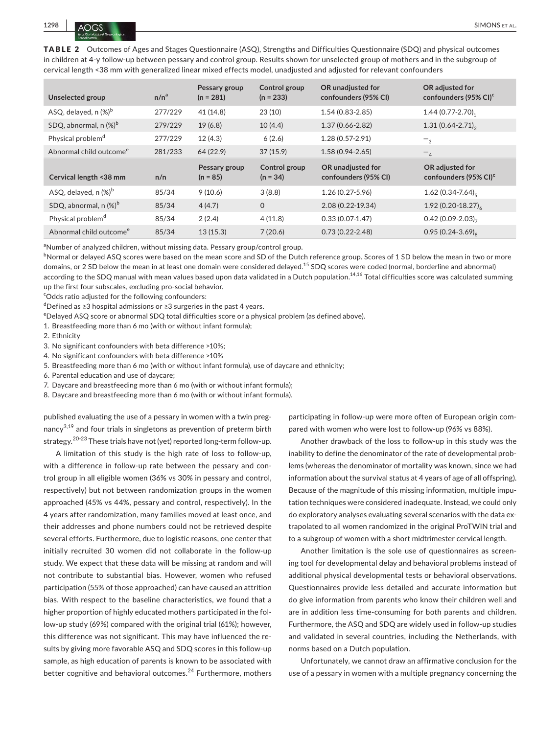TABLE 2 Outcomes of Ages and Stages Questionnaire (ASQ), Strengths and Difficulties Questionnaire (SDQ) and physical outcomes in children at 4‐y follow‐up between pessary and control group. Results shown for unselected group of mothers and in the subgroup of cervical length <38 mm with generalized linear mixed effects model, unadjusted and adjusted for relevant confounders

| Unselected group                    | n/n <sup>a</sup> | Pessary group<br>$(n = 281)$ | Control group<br>$(n = 233)$ | OR unadjusted for<br>confounders (95% CI) | OR adjusted for<br>confounders (95% CI) <sup>c</sup> |
|-------------------------------------|------------------|------------------------------|------------------------------|-------------------------------------------|------------------------------------------------------|
| ASQ, delayed, n (%) <sup>b</sup>    | 277/229          | 41 (14.8)                    | 23(10)                       | $1.54(0.83 - 2.85)$                       | $1.44(0.77-2.70)$ <sub>1</sub>                       |
| SDQ, abnormal, $n$ (%) <sup>b</sup> | 279/229          | 19(6.8)                      | 10(4.4)                      | $1.37(0.66 - 2.82)$                       | 1.31 $(0.64 - 2.71)$ ,                               |
| Physical problem <sup>d</sup>       | 277/229          | 12(4.3)                      | 6(2.6)                       | 1.28 (0.57-2.91)                          | $-3$                                                 |
| Abnormal child outcome <sup>e</sup> | 281/233          | 64 (22.9)                    | 37(15.9)                     | $1.58(0.94 - 2.65)$                       | $-4$                                                 |
|                                     |                  |                              |                              |                                           |                                                      |
| Cervical length <38 mm              | n/n              | Pessary group<br>$(n = 85)$  | Control group<br>$(n = 34)$  | OR unadjusted for<br>confounders (95% CI) | OR adjusted for<br>confounders (95% CI) <sup>c</sup> |
| ASQ, delayed, n (%) <sup>b</sup>    | 85/34            | 9(10.6)                      | 3(8.8)                       | $1.26(0.27-5.96)$                         | $1.62(0.34 - 7.64)_{c}$                              |
| SDQ, abnormal, n (%) <sup>b</sup>   | 85/34            | 4(4.7)                       | $\mathbf 0$                  | 2.08 (0.22-19.34)                         | 1.92 $(0.20 - 18.27)$                                |
| Physical problem <sup>d</sup>       | 85/34            | 2(2.4)                       | 4(11.8)                      | $0.33(0.07-1.47)$                         | $0.42(0.09 - 2.03)$                                  |

<sup>a</sup>Number of analyzed children, without missing data. Pessary group/control group.

 $^{\rm b}$ Normal or delayed ASQ scores were based on the mean score and SD of the Dutch reference group. Scores of 1 SD below the mean in two or more domains, or 2 SD below the mean in at least one domain were considered delayed.<sup>15</sup> SDO scores were coded (normal, borderline and abnormal) according to the SDQ manual with mean values based upon data validated in a Dutch population.<sup>14,16</sup> Total difficulties score was calculated summing up the first four subscales, excluding pro‐social behavior.

<sup>c</sup>Odds ratio adjusted for the following confounders:

d Defined as ≥3 hospital admissions or ≥3 surgeries in the past 4 years.

- <sup>e</sup>Delayed ASQ score or abnormal SDQ total difficulties score or a physical problem (as defined above).
- 1. Breastfeeding more than 6 mo (with or without infant formula);

2. Ethnicity

3. No significant confounders with beta difference >10%;

4. No significant confounders with beta difference >10%

5. Breastfeeding more than 6 mo (with or without infant formula), use of daycare and ethnicity;

6. Parental education and use of daycare;

7. Daycare and breastfeeding more than 6 mo (with or without infant formula);

8. Daycare and breastfeeding more than 6 mo (with or without infant formula).

published evaluating the use of a pessary in women with a twin pregnancy $^{3,19}$  and four trials in singletons as prevention of preterm birth strategy.<sup>20-23</sup> These trials have not (yet) reported long-term follow-up.

A limitation of this study is the high rate of loss to follow-up, with a difference in follow-up rate between the pessary and control group in all eligible women (36% vs 30% in pessary and control, respectively) but not between randomization groups in the women approached (45% vs 44%, pessary and control, respectively). In the 4 years after randomization, many families moved at least once, and their addresses and phone numbers could not be retrieved despite several efforts. Furthermore, due to logistic reasons, one center that initially recruited 30 women did not collaborate in the follow‐up study. We expect that these data will be missing at random and will not contribute to substantial bias. However, women who refused participation (55% of those approached) can have caused an attrition bias. With respect to the baseline characteristics, we found that a higher proportion of highly educated mothers participated in the fol‐ low‐up study (69%) compared with the original trial (61%); however, this difference was not significant. This may have influenced the re‐ sults by giving more favorable ASQ and SDQ scores in this follow‐up sample, as high education of parents is known to be associated with better cognitive and behavioral outcomes.<sup>24</sup> Furthermore, mothers

participating in follow-up were more often of European origin com‐ pared with women who were lost to follow-up (96% vs 88%).

Another drawback of the loss to follow-up in this study was the inability to define the denominator of the rate of developmental problems (whereas the denominator of mortality was known, since we had information about the survival status at 4 years of age of all offspring). Because of the magnitude of this missing information, multiple imputation techniques were considered inadequate. Instead, we could only do exploratory analyses evaluating several scenarios with the data ex‐ trapolated to all women randomized in the original ProTWIN trial and to a subgroup of women with a short midtrimester cervical length.

Another limitation is the sole use of questionnaires as screen‐ ing tool for developmental delay and behavioral problems instead of additional physical developmental tests or behavioral observations. Questionnaires provide less detailed and accurate information but do give information from parents who know their children well and are in addition less time‐consuming for both parents and children. Furthermore, the ASQ and SDQ are widely used in follow‐up studies and validated in several countries, including the Netherlands, with norms based on a Dutch population.

Unfortunately, we cannot draw an affirmative conclusion for the use of a pessary in women with a multiple pregnancy concerning the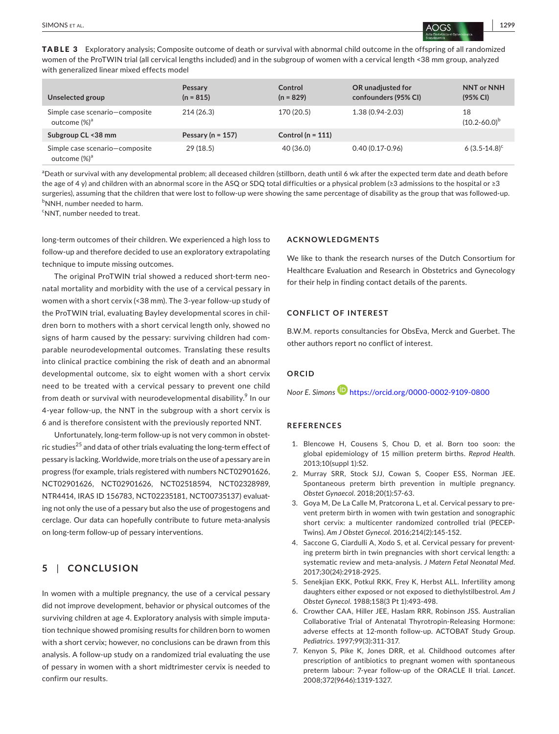**|** SIMONS et al. **1299**

TABLE 3 Exploratory analysis; Composite outcome of death or survival with abnormal child outcome in the offspring of all randomized women of the ProTWIN trial (all cervical lengths included) and in the subgroup of women with a cervical length <38 mm group, analyzed with generalized linear mixed effects model

| Unselected group                                           | Pessary<br>$(n = 815)$ | Control<br>$(n = 829)$ | OR unadjusted for<br>confounders (95% CI) | <b>NNT or NNH</b><br>(95% CI) |
|------------------------------------------------------------|------------------------|------------------------|-------------------------------------------|-------------------------------|
| Simple case scenario-composite<br>outcome (%) <sup>a</sup> | 214 (26.3)             | 170 (20.5)             | $1.38(0.94 - 2.03)$                       | 18<br>$(10.2 - 60.0)^b$       |
| Subgroup CL <38 mm                                         | Pessary ( $n = 157$ )  | Control ( $n = 111$ )  |                                           |                               |
| Simple case scenario-composite<br>outcome (%) <sup>a</sup> | 29(18.5)               | 40 (36.0)              | $0.40(0.17-0.96)$                         | 6 $(3.5 - 14.8)^c$            |

a Death or survival with any developmental problem; all deceased children (stillborn, death until 6 wk after the expected term date and death before the age of 4 y) and children with an abnormal score in the ASQ or SDQ total difficulties or a physical problem (≥3 admissions to the hospital or ≥3 surgeries), assuming that the children that were lost to follow-up were showing the same percentage of disability as the group that was followed-up. <sup>b</sup>NNH, number needed to harm.

<sup>c</sup>NNT, number needed to treat.

long‐term outcomes of their children. We experienced a high loss to follow-up and therefore decided to use an exploratory extrapolating technique to impute missing outcomes.

The original ProTWIN trial showed a reduced short‐term neo‐ natal mortality and morbidity with the use of a cervical pessary in women with a short cervix (<38 mm). The 3‐year follow‐up study of the ProTWIN trial, evaluating Bayley developmental scores in chil‐ dren born to mothers with a short cervical length only, showed no signs of harm caused by the pessary: surviving children had comparable neurodevelopmental outcomes. Translating these results into clinical practice combining the risk of death and an abnormal developmental outcome, six to eight women with a short cervix need to be treated with a cervical pessary to prevent one child from death or survival with neurodevelopmental disability.<sup>9</sup> In our 4‐year follow-up, the NNT in the subgroup with a short cervix is 6 and is therefore consistent with the previously reported NNT.

Unfortunately, long‐term follow-up is not very common in obstet‐ ric studies<sup>25</sup> and data of other trials evaluating the long-term effect of pessary is lacking. Worldwide, more trials on the use of a pessary are in progress (for example, trials registered with numbers NCT02901626, NCT02901626, NCT02901626, NCT02518594, NCT02328989, NTR4414, IRAS ID 156783, NCT02235181, NCT00735137) evaluat‐ ing not only the use of a pessary but also the use of progestogens and cerclage. Our data can hopefully contribute to future meta‐analysis on long‐term follow-up of pessary interventions.

# **5** | **CONCLUSION**

In women with a multiple pregnancy, the use of a cervical pessary did not improve development, behavior or physical outcomes of the surviving children at age 4. Exploratory analysis with simple imputa‐ tion technique showed promising results for children born to women with a short cervix; however, no conclusions can be drawn from this analysis. A follow‐up study on a randomized trial evaluating the use of pessary in women with a short midtrimester cervix is needed to confirm our results.

#### **ACKNOWLEDGMENTS**

We like to thank the research nurses of the Dutch Consortium for Healthcare Evaluation and Research in Obstetrics and Gynecology for their help in finding contact details of the parents.

#### **CONFLICT OF INTEREST**

B.W.M. reports consultancies for ObsEva, Merck and Guerbet. The other authors report no conflict of interest.

### **ORCID**

*Noor E. Simons* <https://orcid.org/0000-0002-9109-0800>

#### **REFERENCES**

- 1. Blencowe H, Cousens S, Chou D, et al. Born too soon: the global epidemiology of 15 million preterm births. *Reprod Health*. 2013;10(suppl 1):S2.
- 2. Murray SRR, Stock SJJ, Cowan S, Cooper ESS, Norman JEE. Spontaneous preterm birth prevention in multiple pregnancy. *Obstet Gynaecol*. 2018;20(1):57‐63.
- 3. Goya M, De La Calle M, Pratcorona L, et al. Cervical pessary to pre‐ vent preterm birth in women with twin gestation and sonographic short cervix: a multicenter randomized controlled trial (PECEP‐ Twins). *Am J Obstet Gynecol*. 2016;214(2):145‐152.
- 4. Saccone G, Ciardulli A, Xodo S, et al. Cervical pessary for preventing preterm birth in twin pregnancies with short cervical length: a systematic review and meta‐analysis. *J Matern Fetal Neonatal Med*. 2017;30(24):2918‐2925.
- 5. Senekjian EKK, Potkul RKK, Frey K, Herbst ALL. Infertility among daughters either exposed or not exposed to diethylstilbestrol. *Am J Obstet Gynecol*. 1988;158(3 Pt 1):493‐498.
- 6. Crowther CAA, Hiller JEE, Haslam RRR, Robinson JSS. Australian Collaborative Trial of Antenatal Thyrotropin‐Releasing Hormone: adverse effects at 12‐month follow‐up. ACTOBAT Study Group. *Pediatrics*. 1997;99(3):311‐317.
- 7. Kenyon S, Pike K, Jones DRR, et al. Childhood outcomes after prescription of antibiotics to pregnant women with spontaneous preterm labour: 7‐year follow‐up of the ORACLE II trial. *Lancet*. 2008;372(9646):1319‐1327.